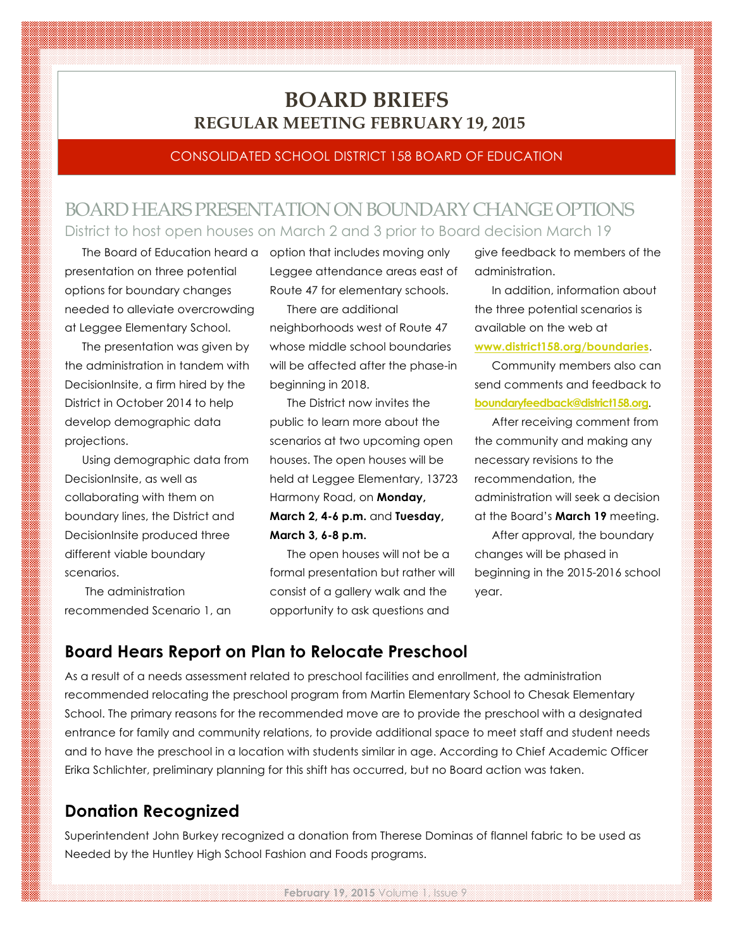# **BOARD BRIEFS REGULAR MEETING FEBRUARY 19, 2015**

#### CONSOLIDATED SCHOOL DISTRICT 158 BOARD OF EDUCATION

## BOARD HEARS PRESENTATION ON BOUNDARY CHANGE OPTIONS District to host open houses on March 2 and 3 prior to Board decision March 19

presentation on three potential options for boundary changes needed to alleviate overcrowding at Leggee Elementary School.

The presentation was given by the administration in tandem with DecisionInsite, a firm hired by the District in October 2014 to help develop demographic data projections.

Using demographic data from DecisionInsite, as well as collaborating with them on boundary lines, the District and DecisionInsite produced three different viable boundary scenarios.

The administration recommended Scenario 1, an

The Board of Education heard a option that includes moving only Leggee attendance areas east of Route 47 for elementary schools.

> There are additional neighborhoods west of Route 47 whose middle school boundaries will be affected after the phase-in beginning in 2018.

> The District now invites the public to learn more about the scenarios at two upcoming open houses. The open houses will be held at Leggee Elementary, 13723 Harmony Road, on **Monday, March 2, 4-6 p.m.** and **Tuesday, March 3, 6-8 p.m.**

The open houses will not be a formal presentation but rather will consist of a gallery walk and the opportunity to ask questions and

give feedback to members of the administration.

In addition, information about the three potential scenarios is available on the web at **www.district158.org/boundaries**.

Community members also can send comments and feedback to **boundaryfeedback@district158.org**.

After receiving comment from the community and making any necessary revisions to the recommendation, the administration will seek a decision at the Board's **March 19** meeting.

After approval, the boundary changes will be phased in beginning in the 2015-2016 school year.

### **Board Hears Report on Plan to Relocate Preschool**

As a result of a needs assessment related to preschool facilities and enrollment, the administration recommended relocating the preschool program from Martin Elementary School to Chesak Elementary School. The primary reasons for the recommended move are to provide the preschool with a designated entrance for family and community relations, to provide additional space to meet staff and student needs and to have the preschool in a location with students similar in age. According to Chief Academic Officer Erika Schlichter, preliminary planning for this shift has occurred, but no Board action was taken.

### **Donation Recognized**

Superintendent John Burkey recognized a donation from Therese Dominas of flannel fabric to be used as Needed by the Huntley High School Fashion and Foods programs.